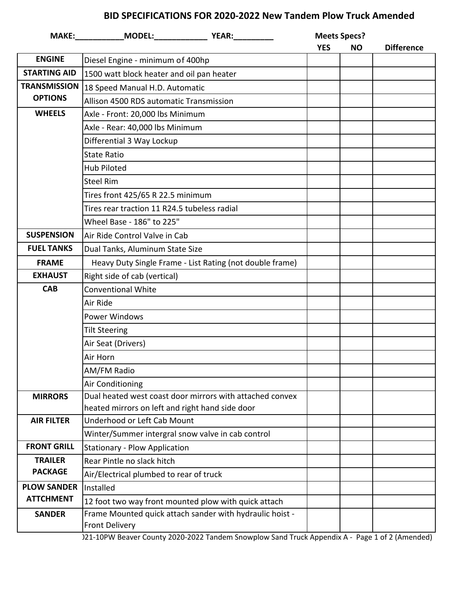## **BID SPECIFICATIONS FOR 2020-2022 New Tandem Plow Truck Amended**

|                                  |                                                                                                                                                                                                             |                                                          | <b>Meets Specs?</b><br><b>YES</b><br><b>NO</b> |  | <b>Difference</b> |
|----------------------------------|-------------------------------------------------------------------------------------------------------------------------------------------------------------------------------------------------------------|----------------------------------------------------------|------------------------------------------------|--|-------------------|
| <b>ENGINE</b>                    | Diesel Engine - minimum of 400hp                                                                                                                                                                            |                                                          |                                                |  |                   |
| <b>STARTING AID</b>              | 1500 watt block heater and oil pan heater                                                                                                                                                                   |                                                          |                                                |  |                   |
| <b>TRANSMISSION</b>              | 18 Speed Manual H.D. Automatic                                                                                                                                                                              |                                                          |                                                |  |                   |
| <b>OPTIONS</b>                   | Allison 4500 RDS automatic Transmission                                                                                                                                                                     |                                                          |                                                |  |                   |
| <b>WHEELS</b>                    | Axle - Front: 20,000 lbs Minimum                                                                                                                                                                            |                                                          |                                                |  |                   |
|                                  | Axle - Rear: 40,000 lbs Minimum                                                                                                                                                                             |                                                          |                                                |  |                   |
|                                  | Differential 3 Way Lockup<br><b>State Ratio</b><br><b>Hub Piloted</b><br><b>Steel Rim</b><br>Tires front 425/65 R 22.5 minimum<br>Tires rear traction 11 R24.5 tubeless radial<br>Wheel Base - 186" to 225" |                                                          |                                                |  |                   |
|                                  |                                                                                                                                                                                                             |                                                          |                                                |  |                   |
|                                  |                                                                                                                                                                                                             |                                                          |                                                |  |                   |
|                                  |                                                                                                                                                                                                             |                                                          |                                                |  |                   |
|                                  |                                                                                                                                                                                                             |                                                          |                                                |  |                   |
|                                  |                                                                                                                                                                                                             |                                                          |                                                |  |                   |
|                                  |                                                                                                                                                                                                             |                                                          |                                                |  |                   |
| <b>SUSPENSION</b>                | Air Ride Control Valve in Cab                                                                                                                                                                               |                                                          |                                                |  |                   |
| <b>FUEL TANKS</b>                | Dual Tanks, Aluminum State Size                                                                                                                                                                             |                                                          |                                                |  |                   |
| <b>FRAME</b>                     | Heavy Duty Single Frame - List Rating (not double frame)                                                                                                                                                    |                                                          |                                                |  |                   |
| <b>EXHAUST</b>                   | Right side of cab (vertical)                                                                                                                                                                                |                                                          |                                                |  |                   |
| <b>CAB</b>                       | <b>Conventional White</b>                                                                                                                                                                                   |                                                          |                                                |  |                   |
|                                  | Air Ride                                                                                                                                                                                                    |                                                          |                                                |  |                   |
|                                  | <b>Power Windows</b>                                                                                                                                                                                        |                                                          |                                                |  |                   |
|                                  | <b>Tilt Steering</b>                                                                                                                                                                                        |                                                          |                                                |  |                   |
|                                  | Air Seat (Drivers)                                                                                                                                                                                          |                                                          |                                                |  |                   |
|                                  | Air Horn                                                                                                                                                                                                    |                                                          |                                                |  |                   |
|                                  | AM/FM Radio                                                                                                                                                                                                 |                                                          |                                                |  |                   |
|                                  | Air Conditioning                                                                                                                                                                                            |                                                          |                                                |  |                   |
| <b>MIRRORS</b>                   |                                                                                                                                                                                                             | Dual heated west coast door mirrors with attached convex |                                                |  |                   |
|                                  | heated mirrors on left and right hand side door                                                                                                                                                             |                                                          |                                                |  |                   |
| <b>AIR FILTER</b>                | Underhood or Left Cab Mount                                                                                                                                                                                 |                                                          |                                                |  |                   |
| <b>FRONT GRILL</b>               | Winter/Summer intergral snow valve in cab control                                                                                                                                                           |                                                          |                                                |  |                   |
|                                  | <b>Stationary - Plow Application</b>                                                                                                                                                                        |                                                          |                                                |  |                   |
| <b>TRAILER</b><br><b>PACKAGE</b> | Rear Pintle no slack hitch                                                                                                                                                                                  |                                                          |                                                |  |                   |
| <b>PLOW SANDER</b>               | Air/Electrical plumbed to rear of truck<br>Installed                                                                                                                                                        |                                                          |                                                |  |                   |
| <b>ATTCHMENT</b>                 | 12 foot two way front mounted plow with quick attach                                                                                                                                                        |                                                          |                                                |  |                   |
| <b>SANDER</b>                    |                                                                                                                                                                                                             | Frame Mounted quick attach sander with hydraulic hoist - |                                                |  |                   |
|                                  | <b>Front Delivery</b>                                                                                                                                                                                       |                                                          |                                                |  |                   |
|                                  |                                                                                                                                                                                                             |                                                          |                                                |  |                   |

121-10PW Beaver County 2020-2022 Tandem Snowplow Sand Truck Appendix A - Page 1 of 2 (Amended)